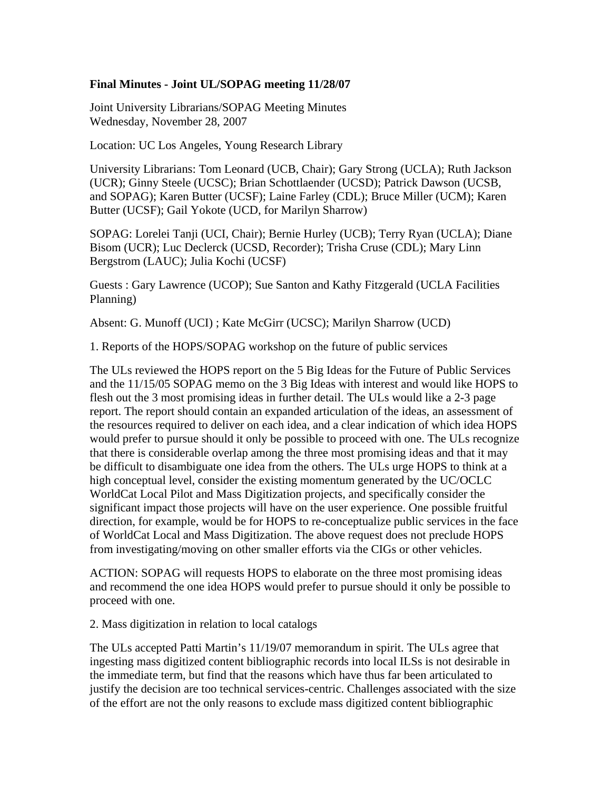## **Final Minutes - Joint UL/SOPAG meeting 11/28/07**

Joint University Librarians/SOPAG Meeting Minutes Wednesday, November 28, 2007

Location: UC Los Angeles, Young Research Library

University Librarians: Tom Leonard (UCB, Chair); Gary Strong (UCLA); Ruth Jackson (UCR); Ginny Steele (UCSC); Brian Schottlaender (UCSD); Patrick Dawson (UCSB, and SOPAG); Karen Butter (UCSF); Laine Farley (CDL); Bruce Miller (UCM); Karen Butter (UCSF); Gail Yokote (UCD, for Marilyn Sharrow)

SOPAG: Lorelei Tanji (UCI, Chair); Bernie Hurley (UCB); Terry Ryan (UCLA); Diane Bisom (UCR); Luc Declerck (UCSD, Recorder); Trisha Cruse (CDL); Mary Linn Bergstrom (LAUC); Julia Kochi (UCSF)

Guests : Gary Lawrence (UCOP); Sue Santon and Kathy Fitzgerald (UCLA Facilities Planning)

Absent: G. Munoff (UCI) ; Kate McGirr (UCSC); Marilyn Sharrow (UCD)

1. Reports of the HOPS/SOPAG workshop on the future of public services

The ULs reviewed the HOPS report on the 5 Big Ideas for the Future of Public Services and the 11/15/05 SOPAG memo on the 3 Big Ideas with interest and would like HOPS to flesh out the 3 most promising ideas in further detail. The ULs would like a 2-3 page report. The report should contain an expanded articulation of the ideas, an assessment of the resources required to deliver on each idea, and a clear indication of which idea HOPS would prefer to pursue should it only be possible to proceed with one. The ULs recognize that there is considerable overlap among the three most promising ideas and that it may be difficult to disambiguate one idea from the others. The ULs urge HOPS to think at a high conceptual level, consider the existing momentum generated by the UC/OCLC WorldCat Local Pilot and Mass Digitization projects, and specifically consider the significant impact those projects will have on the user experience. One possible fruitful direction, for example, would be for HOPS to re-conceptualize public services in the face of WorldCat Local and Mass Digitization. The above request does not preclude HOPS from investigating/moving on other smaller efforts via the CIGs or other vehicles.

ACTION: SOPAG will requests HOPS to elaborate on the three most promising ideas and recommend the one idea HOPS would prefer to pursue should it only be possible to proceed with one.

2. Mass digitization in relation to local catalogs

The ULs accepted Patti Martin's 11/19/07 memorandum in spirit. The ULs agree that ingesting mass digitized content bibliographic records into local ILSs is not desirable in the immediate term, but find that the reasons which have thus far been articulated to justify the decision are too technical services-centric. Challenges associated with the size of the effort are not the only reasons to exclude mass digitized content bibliographic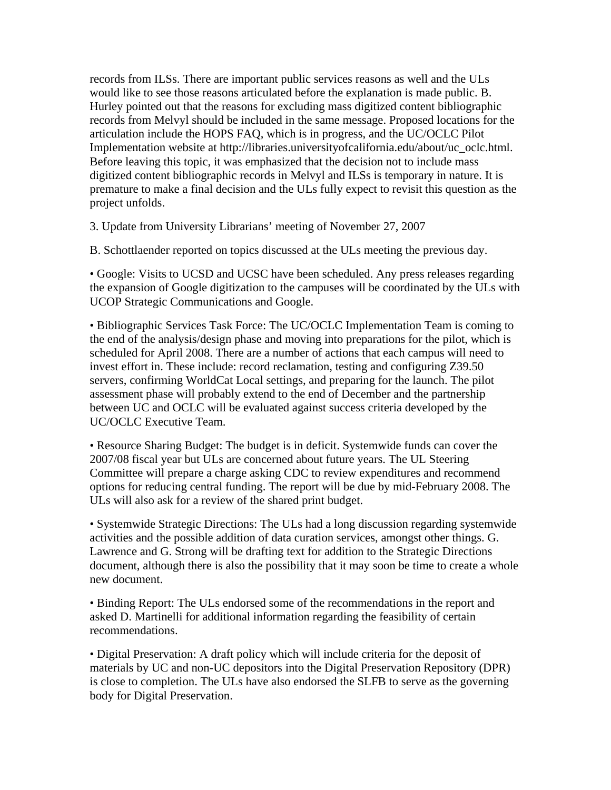records from ILSs. There are important public services reasons as well and the ULs would like to see those reasons articulated before the explanation is made public. B. Hurley pointed out that the reasons for excluding mass digitized content bibliographic records from Melvyl should be included in the same message. Proposed locations for the articulation include the HOPS FAQ, which is in progress, and the UC/OCLC Pilot Implementation website at http://libraries.universityofcalifornia.edu/about/uc\_oclc.html. Before leaving this topic, it was emphasized that the decision not to include mass digitized content bibliographic records in Melvyl and ILSs is temporary in nature. It is premature to make a final decision and the ULs fully expect to revisit this question as the project unfolds.

3. Update from University Librarians' meeting of November 27, 2007

B. Schottlaender reported on topics discussed at the ULs meeting the previous day.

• Google: Visits to UCSD and UCSC have been scheduled. Any press releases regarding the expansion of Google digitization to the campuses will be coordinated by the ULs with UCOP Strategic Communications and Google.

• Bibliographic Services Task Force: The UC/OCLC Implementation Team is coming to the end of the analysis/design phase and moving into preparations for the pilot, which is scheduled for April 2008. There are a number of actions that each campus will need to invest effort in. These include: record reclamation, testing and configuring Z39.50 servers, confirming WorldCat Local settings, and preparing for the launch. The pilot assessment phase will probably extend to the end of December and the partnership between UC and OCLC will be evaluated against success criteria developed by the UC/OCLC Executive Team.

• Resource Sharing Budget: The budget is in deficit. Systemwide funds can cover the 2007/08 fiscal year but ULs are concerned about future years. The UL Steering Committee will prepare a charge asking CDC to review expenditures and recommend options for reducing central funding. The report will be due by mid-February 2008. The ULs will also ask for a review of the shared print budget.

• Systemwide Strategic Directions: The ULs had a long discussion regarding systemwide activities and the possible addition of data curation services, amongst other things. G. Lawrence and G. Strong will be drafting text for addition to the Strategic Directions document, although there is also the possibility that it may soon be time to create a whole new document.

• Binding Report: The ULs endorsed some of the recommendations in the report and asked D. Martinelli for additional information regarding the feasibility of certain recommendations.

• Digital Preservation: A draft policy which will include criteria for the deposit of materials by UC and non-UC depositors into the Digital Preservation Repository (DPR) is close to completion. The ULs have also endorsed the SLFB to serve as the governing body for Digital Preservation.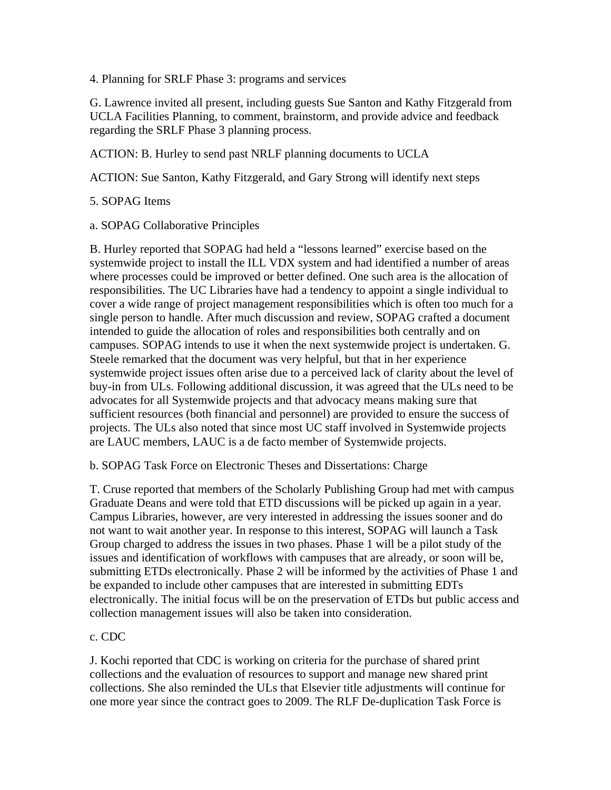4. Planning for SRLF Phase 3: programs and services

G. Lawrence invited all present, including guests Sue Santon and Kathy Fitzgerald from UCLA Facilities Planning, to comment, brainstorm, and provide advice and feedback regarding the SRLF Phase 3 planning process.

ACTION: B. Hurley to send past NRLF planning documents to UCLA

ACTION: Sue Santon, Kathy Fitzgerald, and Gary Strong will identify next steps

## 5. SOPAG Items

a. SOPAG Collaborative Principles

B. Hurley reported that SOPAG had held a "lessons learned" exercise based on the systemwide project to install the ILL VDX system and had identified a number of areas where processes could be improved or better defined. One such area is the allocation of responsibilities. The UC Libraries have had a tendency to appoint a single individual to cover a wide range of project management responsibilities which is often too much for a single person to handle. After much discussion and review, SOPAG crafted a document intended to guide the allocation of roles and responsibilities both centrally and on campuses. SOPAG intends to use it when the next systemwide project is undertaken. G. Steele remarked that the document was very helpful, but that in her experience systemwide project issues often arise due to a perceived lack of clarity about the level of buy-in from ULs. Following additional discussion, it was agreed that the ULs need to be advocates for all Systemwide projects and that advocacy means making sure that sufficient resources (both financial and personnel) are provided to ensure the success of projects. The ULs also noted that since most UC staff involved in Systemwide projects are LAUC members, LAUC is a de facto member of Systemwide projects.

b. SOPAG Task Force on Electronic Theses and Dissertations: Charge

T. Cruse reported that members of the Scholarly Publishing Group had met with campus Graduate Deans and were told that ETD discussions will be picked up again in a year. Campus Libraries, however, are very interested in addressing the issues sooner and do not want to wait another year. In response to this interest, SOPAG will launch a Task Group charged to address the issues in two phases. Phase 1 will be a pilot study of the issues and identification of workflows with campuses that are already, or soon will be, submitting ETDs electronically. Phase 2 will be informed by the activities of Phase 1 and be expanded to include other campuses that are interested in submitting EDTs electronically. The initial focus will be on the preservation of ETDs but public access and collection management issues will also be taken into consideration.

## c. CDC

J. Kochi reported that CDC is working on criteria for the purchase of shared print collections and the evaluation of resources to support and manage new shared print collections. She also reminded the ULs that Elsevier title adjustments will continue for one more year since the contract goes to 2009. The RLF De-duplication Task Force is